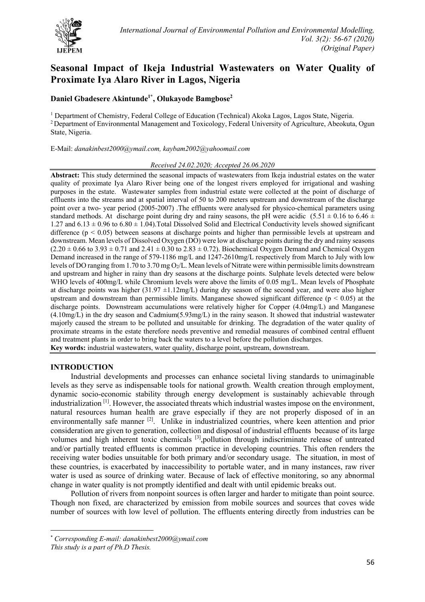

# **Seasonal Impact of Ikeja Industrial Wastewaters on Water Quality of Proximate Iya Alaro River in Lagos, Nigeria**

# **Daniel Gbadesere Akintunde1\* , Olukayode Bamgbose2**

<sup>1</sup> Department of Chemistry, Federal College of Education (Technical) Akoka Lagos, Lagos State, Nigeria. 2 Department of Environmental Management and Toxicology, Federal University of Agriculture, Abeokuta, Ogun State, Nigeria.

E-Mail: *danakinbest2000@ymail.com, kaybam2002@yahoomail.com* 

## *Received 24.02.2020; Accepted 26.06.2020*

**Abstract:** This study determined the seasonal impacts of wastewaters from Ikeja industrial estates on the water quality of proximate Iya Alaro River being one of the longest rivers employed for irrigational and washing purposes in the estate. Wastewater samples from industrial estate were collected at the point of discharge of effluents into the streams and at spatial interval of 50 to 200 meters upstream and downstream of the discharge point over a two- year period (2005-2007) .The effluents were analysed for physico-chemical parameters using standard methods. At discharge point during dry and rainy seasons, the pH were acidic  $(5.51 \pm 0.16$  to  $6.46 \pm 1.0$ 1.27 and  $6.13 \pm 0.96$  to  $6.80 \pm 1.04$ ). Total Dissolved Solid and Electrical Conductivity levels showed significant difference ( $p \le 0.05$ ) between seasons at discharge points and higher than permissible levels at upstream and downstream. Mean levels of Dissolved Oxygen (DO) were low at discharge points during the dry and rainy seasons  $(2.20 \pm 0.66$  to  $3.93 \pm 0.71$  and  $2.41 \pm 0.30$  to  $2.83 \pm 0.72$ ). Biochemical Oxygen Demand and Chemical Oxygen Demand increased in the range of 579-1186 mg/L and 1247-2610mg/L respectively from March to July with low levels of DO ranging from 1.70 to 3.70 mg O2/L. Mean levels of Nitrate were within permissible limits downstream and upstream and higher in rainy than dry seasons at the discharge points. Sulphate levels detected were below WHO levels of 400mg/L while Chromium levels were above the limits of 0.05 mg/L. Mean levels of Phosphate at discharge points was higher  $(31.97 \pm 1.12 \text{mg/L})$  during dry season of the second year, and were also higher upstream and downstream than permissible limits. Manganese showed significant difference ( $p < 0.05$ ) at the discharge points. Downstream accumulations were relatively higher for Copper (4.04mg/L) and Manganese (4.10mg/L) in the dry season and Cadmium(5.93mg/L) in the rainy season. It showed that industrial wastewater majorly caused the stream to be polluted and unsuitable for drinking. The degradation of the water quality of proximate streams in the estate therefore needs preventive and remedial measures of combined central effluent and treatment plants in order to bring back the waters to a level before the pollution discharges. **Key words:** industrial wastewaters, water quality, discharge point, upstream, downstream.

## **INTRODUCTION**

Industrial developments and processes can enhance societal living standards to unimaginable levels as they serve as indispensable tools for national growth. Wealth creation through employment, dynamic socio-economic stability through energy development is sustainably achievable through industrialization [1]. However, the associated threats which industrial wastes impose on the environment, natural resources human health are grave especially if they are not properly disposed of in an environmentally safe manner <sup>[2]</sup>. Unlike in industrialized countries, where keen attention and prior consideration are given to generation, collection and disposal of industrial effluents because of its large volumes and high inherent toxic chemicals [3], pollution through indiscriminate release of untreated and/or partially treated effluents is common practice in developing countries. This often renders the receiving water bodies unsuitable for both primary and/or secondary usage. The situation, in most of these countries, is exacerbated by inaccessibility to portable water, and in many instances, raw river water is used as source of drinking water. Because of lack of effective monitoring, so any abnormal change in water quality is not promptly identified and dealt with until epidemic breaks out.

Pollution of rivers from nonpoint sources is often larger and harder to mitigate than point source. Though non fixed, are characterized by emission from mobile sources and sources that coves wide number of sources with low level of pollution. The effluents entering directly from industries can be

<sup>\*</sup> *Corresponding E-mail: danakinbest2000@ymail.com*

*This study is a part of Ph.D Thesis.*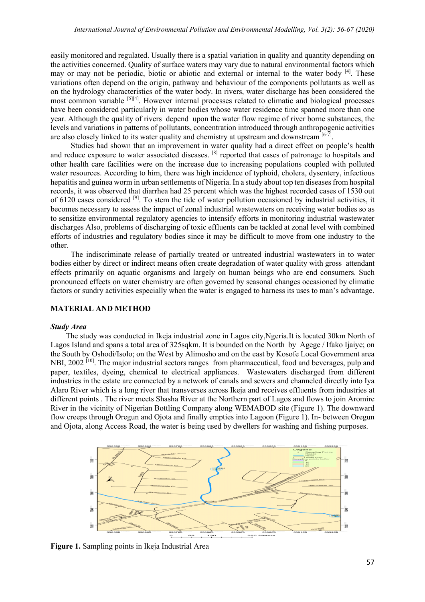easily monitored and regulated. Usually there is a spatial variation in quality and quantity depending on the activities concerned. Quality of surface waters may vary due to natural environmental factors which may or may not be periodic, biotic or abiotic and external or internal to the water body [4]. These variations often depend on the origin, pathway and behaviour of the components pollutants as well as on the hydrology characteristics of the water body. In rivers, water discharge has been considered the most common variable [5][4]. However internal processes related to climatic and biological processes have been considered particularly in water bodies whose water residence time spanned more than one year. Although the quality of rivers depend upon the water flow regime of river borne substances, the levels and variations in patterns of pollutants, concentration introduced through anthropogenic activities are also closely linked to its water quality and chemistry at upstream and downstream  $[6-7]$ .

Studies had shown that an improvement in water quality had a direct effect on people's health and reduce exposure to water associated diseases. <sup>[8]</sup> reported that cases of patronage to hospitals and other health care facilities were on the increase due to increasing populations coupled with polluted water resources. According to him, there was high incidence of typhoid, cholera, dysentery, infectious hepatitis and guinea worm in urban settlements of Nigeria. In a study about top ten diseases from hospital records, it was observed that diarrhea had 25 percent which was the highest recorded cases of 1530 out of 6120 cases considered [9]. To stem the tide of water pollution occasioned by industrial activities, it becomes necessary to assess the impact of zonal industrial wastewaters on receiving water bodies so as to sensitize environmental regulatory agencies to intensify efforts in monitoring industrial wastewater discharges Also, problems of discharging of toxic effluents can be tackled at zonal level with combined efforts of industries and regulatory bodies since it may be difficult to move from one industry to the other.

The indiscriminate release of partially treated or untreated industrial wastewaters in to water bodies either by direct or indirect means often create degradation of water quality with gross attendant effects primarily on aquatic organisms and largely on human beings who are end consumers. Such pronounced effects on water chemistry are often governed by seasonal changes occasioned by climatic factors or sundry activities especially when the water is engaged to harness its uses to man's advantage.

## **MATERIAL AND METHOD**

## *Study Area*

The study was conducted in Ikeja industrial zone in Lagos city,Ngeria.It is located 30km North of Lagos Island and spans a total area of 325sqkm. It is bounded on the North by Agege / Ifako Ijaiye; on the South by Oshodi/Isolo; on the West by Alimosho and on the east by Kosofe Local Government area NBI, 2002<sup>[10]</sup>. The major industrial sectors ranges from pharmaceutical, food and beverages, pulp and paper, textiles, dyeing, chemical to electrical appliances. Wastewaters discharged from different industries in the estate are connected by a network of canals and sewers and channeled directly into Iya Alaro River which is a long river that transverses across Ikeja and receives effluents from industries at different points . The river meets Shasha River at the Northern part of Lagos and flows to join Aromire River in the vicinity of Nigerian Bottling Company along WEMABOD site (Figure 1). The downward flow creeps through Oregun and Ojota and finally empties into Lagoon (Figure 1). In- between Oregun and Ojota, along Access Road, the water is being used by dwellers for washing and fishing purposes.



**Figure 1.** Sampling points in Ikeja Industrial Area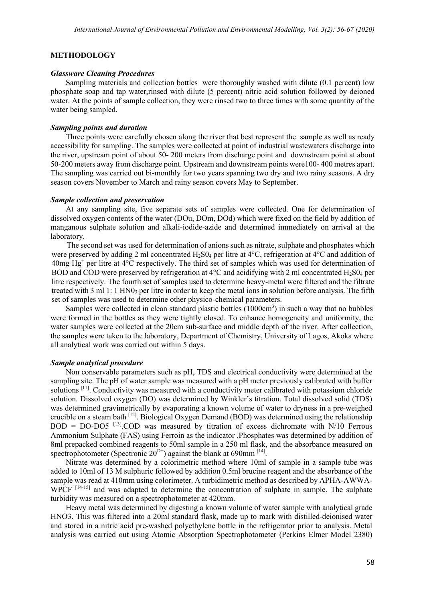## **METHODOLOGY**

#### *Glassware Cleaning Procedures*

Sampling materials and collection bottles were thoroughly washed with dilute (0.1 percent) low phosphate soap and tap water,rinsed with dilute (5 percent) nitric acid solution followed by deioned water. At the points of sample collection, they were rinsed two to three times with some quantity of the water being sampled.

#### *Sampling points and duration*

Three points were carefully chosen along the river that best represent the sample as well as ready accessibility for sampling. The samples were collected at point of industrial wastewaters discharge into the river, upstream point of about 50- 200 meters from discharge point and downstream point at about 50-200 meters away from discharge point. Upstream and downstream points were100- 400 metres apart. The sampling was carried out bi-monthly for two years spanning two dry and two rainy seasons. A dry season covers November to March and rainy season covers May to September.

#### *Sample collection and preservation*

At any sampling site, five separate sets of samples were collected. One for determination of dissolved oxygen contents of the water (DOu, DOm, DOd) which were fixed on the field by addition of manganous sulphate solution and alkali-iodide-azide and determined immediately on arrival at the laboratory.

The second set was used for determination of anions such as nitrate, sulphate and phosphates which were preserved by adding 2 ml concentrated H2S04 per litre at 4°C, refrigeration at 4°C and addition of  $40mg$  Hg<sup>+</sup> per litre at  $4^{\circ}$ C respectively. The third set of samples which was used for determination of BOD and COD were preserved by refrigeration at  $4^{\circ}$ C and acidifying with 2 ml concentrated H<sub>2</sub>S0<sub>4</sub> per litre respectively. The fourth set of samples used to determine heavy-metal were filtered and the filtrate treated with  $3 \text{ ml } 1: 1 \text{ HNO}_3$  per litre in order to keep the metal ions in solution before analysis. The fifth set of samples was used to determine other physico-chemical parameters.

Samples were collected in clean standard plastic bottles  $(1000 \text{cm}^3)$  in such a way that no bubbles were formed in the bottles as they were tightly closed. To enhance homogeneity and uniformity, the water samples were collected at the 20cm sub-surface and middle depth of the river. After collection, the samples were taken to the laboratory, Department of Chemistry, University of Lagos, Akoka where all analytical work was carried out within 5 days.

### *Sample analytical procedure*

Non conservable parameters such as pH, TDS and electrical conductivity were determined at the sampling site. The pH of water sample was measured with a pH meter previously calibrated with buffer solutions [11]. Conductivity was measured with a conductivity meter calibrated with potassium chloride solution. Dissolved oxygen (DO) was determined by Winkler's titration. Total dissolved solid (TDS) was determined gravimetrically by evaporating a known volume of water to dryness in a pre-weighed crucible on a steam bath [12]. Biological Oxygen Demand (BOD) was determined using the relationship  $BOD = DO-DO5$ <sup>[13]</sup>.COD was measured by titration of excess dichromate with N/10 Ferrous Ammonium Sulphate (FAS) using Ferroin as the indicator .Phosphates was determined by addition of 8ml prepacked combined reagents to 50ml sample in a 250 ml flask, and the absorbance measured on spectrophotometer (Spectronic  $20^{D+}$ ) against the blank at 690mm <sup>[14]</sup>.

Nitrate was determined by a colorimetric method where 10ml of sample in a sample tube was added to 10ml of 13 M sulphuric followed by addition 0.5ml brucine reagent and the absorbance of the sample was read at 410mm using colorimeter. A turbidimetric method as described by APHA-AWWA-WPCF<sup>[14-15]</sup> and was adapted to determine the concentration of sulphate in sample. The sulphate turbidity was measured on a spectrophotometer at 420mm.

Heavy metal was determined by digesting a known volume of water sample with analytical grade HNO3. This was filtered into a 20ml standard flask, made up to mark with distilled-deionised water and stored in a nitric acid pre-washed polyethylene bottle in the refrigerator prior to analysis. Metal analysis was carried out using Atomic Absorption Spectrophotometer (Perkins Elmer Model 2380)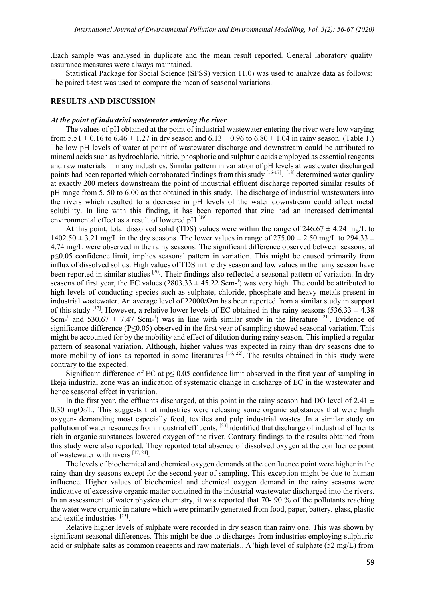.Each sample was analysed in duplicate and the mean result reported. General laboratory quality assurance measures were always maintained.

Statistical Package for Social Science (SPSS) version 11.0) was used to analyze data as follows: The paired t-test was used to compare the mean of seasonal variations.

## **RESULTS AND DISCUSSION**

#### *At the point of industrial wastewater entering the river*

The values of pH obtained at the point of industrial wastewater entering the river were low varying from  $5.51 \pm 0.16$  to  $6.46 \pm 1.27$  in dry season and  $6.13 \pm 0.96$  to  $6.80 \pm 1.04$  in rainy season. (Table 1.) The low pH levels of water at point of wastewater discharge and downstream could be attributed to mineral acids such as hydrochloric, nitric, phosphoric and sulphuric acids employed as essential reagents and raw materials in many industries. Similar pattern in variation of pH levels at wastewater discharged points had been reported which corroborated findings from this study  $[16-17]$ .  $[18]$  determined water quality at exactly 200 meters downstream the point of industrial effluent discharge reported similar results of pH range from 5. 50 to 6.00 as that obtained in this study. The discharge of industrial wastewaters into the rivers which resulted to a decrease in pH levels of the water downstream could affect metal solubility. In line with this finding, it has been reported that zinc had an increased detrimental environmental effect as a result of lowered pH [19]

At this point, total dissolved solid (TDS) values were within the range of  $246.67 \pm 4.24$  mg/L to  $1402.50 \pm 3.21$  mg/L in the dry seasons. The lower values in range of  $275.00 \pm 2.50$  mg/L to  $294.33 \pm 1.00$ 4.74 mg/L were observed in the rainy seasons. The significant difference observed between seasons, at p≤0.05 confidence limit, implies seasonal pattern in variation. This might be caused primarily from influx of dissolved solids. High values of TDS in the dry season and low values in the rainy season have been reported in similar studies <sup>[20]</sup>. Their findings also reflected a seasonal pattern of variation. In dry seasons of first year, the EC values  $(2803.33 \pm 45.22 \text{ Scm}^{-1})$  was very high. The could be attributed to high levels of conducting species such as sulphate, chloride, phosphate and heavy metals present in industrial wastewater. An average level of 22000/Ωm has been reported from a similar study in support of this study <sup>[17]</sup>. However, a relative lower levels of EC obtained in the rainy seasons (536.33  $\pm$  4.38) Scm<sup>-I</sup> and 530.67  $\pm$  7.47 Scm-<sup>I</sup>) was in line with similar study in the literature <sup>[21]</sup>. Evidence of significance difference (P≤0.05) observed in the first year of sampling showed seasonal variation. This might be accounted for by the mobility and effect of dilution during rainy season. This implied a regular pattern of seasonal variation. Although, higher values was expected in rainy than dry seasons due to more mobility of ions as reported in some literatures  $[16, 22]$ . The results obtained in this study were contrary to the expected.

Significant difference of EC at  $p \le 0.05$  confidence limit observed in the first year of sampling in Ikeja industrial zone was an indication of systematic change in discharge of EC in the wastewater and hence seasonal effect in variation.

In the first year, the effluents discharged, at this point in the rainy season had DO level of 2.41  $\pm$ 0.30 mgO<sub>2</sub>/L. This suggests that industries were releasing some organic substances that were high oxygen- demanding most especially food, textiles and pulp industrial wastes .In a similar study on pollution of water resources from industrial effluents, [23] identified that discharge of industrial effluents rich in organic substances lowered oxygen of the river. Contrary findings to the results obtained from this study were also reported. They reported total absence of dissolved oxygen at the confluence point of wastewater with rivers [17, 24].

The levels of biochemical and chemical oxygen demands at the confluence point were higher in the rainy than dry seasons except for the second year of sampling. This exception might be due to human influence. Higher values of biochemical and chemical oxygen demand in the rainy seasons were indicative of excessive organic matter contained in the industrial wastewater discharged into the rivers. In an assessment of water physico chemistry, it was reported that 70- 90 % of the pollutants reaching the water were organic in nature which were primarily generated from food, paper, battery, glass, plastic and textile industries [25].

Relative higher levels of sulphate were recorded in dry season than rainy one. This was shown by significant seasonal differences. This might be due to discharges from industries employing sulphuric acid or sulphate salts as common reagents and raw materials.. A 'high level of sulphate (52 mg/L) from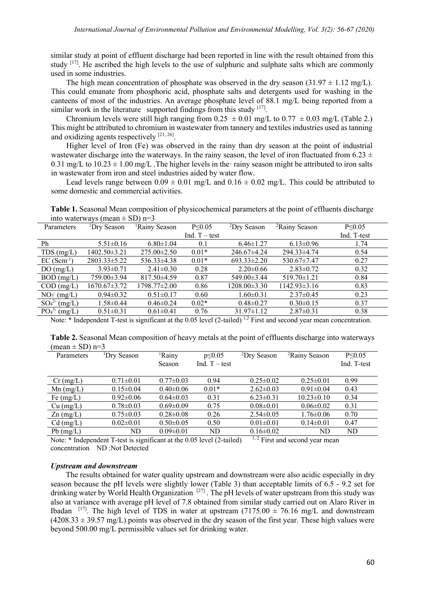similar study at point of effluent discharge had been reported in line with the result obtained from this study  $[17]$ . He ascribed the high levels to the use of sulphuric and sulphate salts which are commonly used in some industries.

The high mean concentration of phosphate was observed in the dry season  $(31.97 \pm 1.12 \text{ mg/L})$ . This could emanate from phosphoric acid, phosphate salts and detergents used for washing in the canteens of most of the industries. An average phosphate level of 88.1 mg/L being reported from a similar work in the literature supported findings from this study  $[17]$ .

Chromium levels were still high ranging from  $0.25 \pm 0.01$  mg/L to  $0.77 \pm 0.03$  mg/L (Table 2.) This might be attributed to chromium in wastewater from tannery and textiles industries used as tanning and oxidizing agents respectively  $[21, 26]$ .

Higher level of Iron (Fe) was observed in the rainy than dry season at the point of industrial wastewater discharge into the waterways. In the rainy season, the level of iron fluctuated from 6.23  $\pm$ 0.31 mg/L to  $10.23 \pm 1.00$  mg/L. The higher levels in the rainy season might be attributed to iron salts in wastewater from iron and steel industries aided by water flow.

Lead levels range between  $0.09 \pm 0.01$  mg/L and  $0.16 \pm 0.02$  mg/L. This could be attributed to some domestic and commercial activities.

**Table 1.** Seasonal Mean composition of physicochemical parameters at the point of effluents discharge into waterways (mean  $\pm$  SD) n=3

| Parameters             | <sup>1</sup> Dry Season | <sup>1</sup> Rainy Season | $P \le 0.05$    | ${}^{2}$ Dry Season | <sup>2</sup> Rainy Season | $P \le 0.05$ |
|------------------------|-------------------------|---------------------------|-----------------|---------------------|---------------------------|--------------|
|                        |                         |                           | Ind. $T - test$ |                     |                           | Ind. T-test  |
| Ph                     | $5.51 \pm 0.16$         | $6.80 \pm 1.04$           | 0.1             | $6.46 \pm 1.27$     | $6.13 \pm 0.96$           | 1.74         |
| $TDS$ (mg/L)           | 1402.50±3.21            | $275.00 \pm 2.50$         | $0.01*$         | 246.67±4.24         | 294.33±4.74               | 0.54         |
| $EC(Scm^{-1})$         | 2803.33±5.22            | $536.33\pm4.38$           | $0.01*$         | $693.33 \pm 2.20$   | 530.67±7.47               | 0.27         |
| DO(mg/L)               | $3.93 \pm 0.71$         | $2.41 \pm 0.30$           | 0.28            | $2.20 \pm 0.66$     | $2.83 \pm 0.72$           | 0.32         |
| $BOD$ (mg/L)           | 759.00±3.94             | $817.50\pm4.59$           | 0.87            | 549.00±3.44         | $519.70 \pm 1.21$         | 0.84         |
| $COD$ (mg/L)           | $1670.67 \pm 3.72$      | 1798.77±2.00              | 0.86            | $1208.00 \pm 3.30$  | $1142.93 \pm 3.16$        | 0.83         |
| NO <sub>3</sub> (mg/L) | $0.94 \pm 0.32$         | $0.51 \pm 0.17$           | 0.60            | $1.60 \pm 0.31$     | $2.37\pm0.45$             | 0.23         |
| $SO_4^{2-}$ (mg/L)     | $1.58 \pm 0.44$         | $0.46 \pm 0.24$           | $0.02*$         | $0.48 \pm 0.27$     | $0.30 \pm 0.15$           | 0.37         |
| $PO_4^{3}$ (mg/L)      | $0.51 \pm 0.31$         | $0.61 \pm 0.41$           | 0.76            | $31.97 \pm 1.12$    | $2.87 \pm 0.31$           | 0.38         |

Note:  $*$  Independent T-test is significant at the 0.05 level (2-tailed)  $^{1,2}$  First and second year mean concentration.

**Table 2.** Seasonal Mean composition of heavy metals at the point of effluents discharge into waterways (mean  $\pm$  SD) n=3

| <sup>1</sup> Dry Season | <sup>1</sup> Rainy<br>Season | $p \le 0.05$<br>Ind. $T - test$ | <sup>2</sup> Dry Season | <sup>2</sup> Rainy Season | $P \le 0.05$<br>Ind. T-test |
|-------------------------|------------------------------|---------------------------------|-------------------------|---------------------------|-----------------------------|
| $0.71 \pm 0.01$         | $0.77 \pm 0.03$              | 0.94                            | $0.25 \pm 0.02$         | $0.25 \pm 0.01$           | 0.99                        |
| $0.15 \pm 0.04$         | $0.40 \pm 0.06$              | $0.01*$                         | $2.62 \pm 0.03$         | $0.91 \pm 0.04$           | 0.43                        |
| $0.92 \pm 0.06$         | $0.64 \pm 0.03$              | 0.31                            | $6.23 \pm 0.31$         | $10.23 \pm 0.10$          | 0.34                        |
| $0.78 \pm 0.03$         | $0.69 \pm 0.09$              | 0.75                            | $0.08 \pm 0.01$         | $0.06 \pm 0.02$           | 0.31                        |
| $0.75 \pm 0.03$         | $0.28 \pm 0.08$              | 0.26                            | $2.54 \pm 0.05$         | $1.76 \pm 0.06$           | 0.70                        |
| $0.02 \pm 0.01$         | $0.50 \pm 0.05$              | 0.50                            | $0.01 \pm 0.01$         | $0.14 \pm 0.01$           | 0.47                        |
| ND                      | $0.09 \pm 0.01$              | ND                              | $0.16 \pm 0.02$         | ND                        | ND                          |
|                         |                              |                                 |                         |                           |                             |

Note:  $*$  Independent T-test is significant at the 0.05 level (2-tailed)  $1, 2$  First and second year mean concentration ND :Not Detected

## *Upstream and downstream*

The results obtained for water quality upstream and downstream were also acidic especially in dry season because the pH levels were slightly lower (Table 3) than acceptable limits of 6.5 - 9.2 set for drinking water by World Health Organization<sup>[27]</sup>. The pH levels of water upstream from this study was also at variance with average pH level of 7.8 obtained from similar study carried out on Alaro River in Ibadan <sup>[17]</sup>. The high level of TDS in water at upstream (7175.00  $\pm$  76.16 mg/L and downstream  $(4208.33 \pm 39.57 \text{ mg/L})$  points was observed in the dry season of the first year. These high values were beyond 500.00 mg/L permissible values set for drinking water.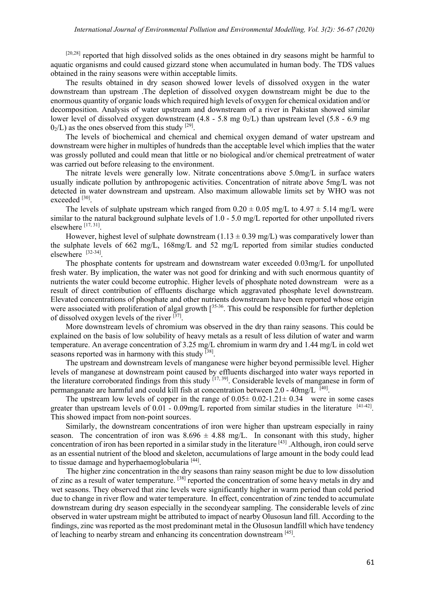[20,28] reported that high dissolved solids as the ones obtained in dry seasons might be harmful to aquatic organisms and could caused gizzard stone when accumulated in human body. The TDS values obtained in the rainy seasons were within acceptable limits.

The results obtained in dry season showed lower levels of dissolved oxygen in the water downstream than upstream .The depletion of dissolved oxygen downstream might be due to the enormous quantity of organic loads which required high levels of oxygen for chemical oxidation and/or decomposition. Analysis of water upstream and downstream of a river in Pakistan showed similar lower level of dissolved oxygen downstream  $(4.8 - 5.8 \text{ mg } 0)/L$ ) than upstream level  $(5.8 - 6.9 \text{ mg})$  $0<sub>2</sub>/L$ ) as the ones observed from this study <sup>[29]</sup>.

The levels of biochemical and chemical and chemical oxygen demand of water upstream and downstream were higher in multiples of hundreds than the acceptable level which implies that the water was grossly polluted and could mean that little or no biological and/or chemical pretreatment of water was carried out before releasing to the environment.

The nitrate levels were generally low. Nitrate concentrations above 5.0mg/L in surface waters usually indicate pollution by anthropogenic activities. Concentration of nitrate above 5mg/L was not detected in water downstream and upstream. Also maximum allowable limits set by WHO was not exceeded [30].

The levels of sulphate upstream which ranged from  $0.20 \pm 0.05$  mg/L to  $4.97 \pm 5.14$  mg/L were similar to the natural background sulphate levels of 1.0 - 5.0 mg/L reported for other unpolluted rivers elsewhere [17, 31].

However, highest level of sulphate downstream  $(1.13 \pm 0.39 \text{ mg/L})$  was comparatively lower than the sulphate levels of 662 mg/L, 168mg/L and 52 mg/L reported from similar studies conducted elsewhere [32-34].

The phosphate contents for upstream and downstream water exceeded 0.03mg/L for unpolluted fresh water. By implication, the water was not good for drinking and with such enormous quantity of nutrients the water could become eutrophic. Higher levels of phosphate noted downstream were as a result of direct contribution of effluents discharge which aggravated phosphate level downstream. Elevated concentrations of phosphate and other nutrients downstream have been reported whose origin were associated with proliferation of algal growth  $[35-36]$ . This could be responsible for further depletion of dissolved oxygen levels of the river  $^{[37]}$ .

More downstream levels of chromium was observed in the dry than rainy seasons. This could be explained on the basis of low solubility of heavy metals as a result of less dilution of water and warm temperature. An average concentration of 3.25 mg/L chromium in warm dry and 1.44 mg/L in cold wet seasons reported was in harmony with this study  $[38]$ .

The upstream and downstream levels of manganese were higher beyond permissible level. Higher levels of manganese at downstream point caused by effluents discharged into water ways reported in the literature corroborated findings from this study  $[17, 39]$ . Considerable levels of manganese in form of permanganate are harmful and could kill fish at concentration between 2.0 -  $40mg/L$ <sup>[40]</sup>.

The upstream low levels of copper in the range of  $0.05 \pm 0.02 - 1.21 \pm 0.34$  were in some cases greater than upstream levels of  $0.01 - 0.09$ mg/L reported from similar studies in the literature  $[41-42]$ . This showed impact from non-point sources.

Similarly, the downstream concentrations of iron were higher than upstream especially in rainy season. The concentration of iron was  $8.696 \pm 4.88$  mg/L. In consonant with this study, higher concentration of iron has been reported in a similar study in the literature [43] .Although, iron could serve as an essential nutrient of the blood and skeleton, accumulations of large amount in the body could lead to tissue damage and hyperhaemoglobularia [44].

The higher zinc concentration in the dry seasons than rainy season might be due to low dissolution of zinc as a result of water temperature. <sup>[38]</sup> reported the concentration of some heavy metals in dry and wet seasons. They observed that zinc levels were significantly higher in warm period than cold period due to change in river flow and water temperature. In effect, concentration of zinc tended to accumulate downstream during dry season especially in the secondyear sampling. The considerable levels of zinc observed in water upstream might be attributed to impact of nearby Olusosun land fill. According to the findings, zinc was reported as the most predominant metal in the Olusosun landfill which have tendency of leaching to nearby stream and enhancing its concentration downstream [45].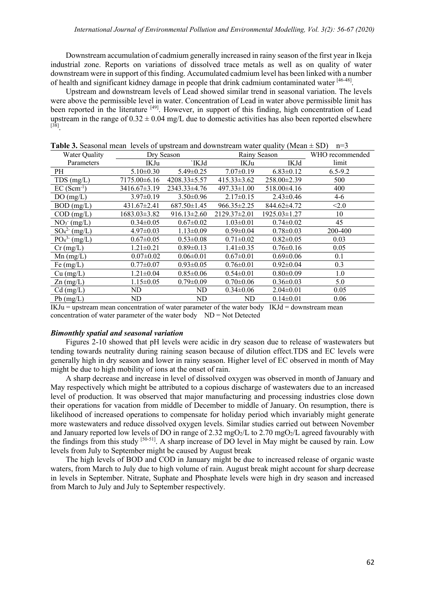Downstream accumulation of cadmium generally increased in rainy season of the first year in Ikeja industrial zone. Reports on variations of dissolved trace metals as well as on quality of water downstream were in support of this finding. Accumulated cadmium level has been linked with a number of health and significant kidney damage in people that drink cadmium contaminated water [46-48].

Upstream and downstream levels of Lead showed similar trend in seasonal variation. The levels were above the permissible level in water. Concentration of Lead in water above permissible limit has been reported in the literature <sup>[49]</sup>. However, in support of this finding, high concentration of Lead upstream in the range of  $0.32 \pm 0.04$  mg/L due to domestic activities has also been reported elsewhere [38].

| $\sim$ abond them to very of applicant and do whon can water spanny (filem |                    |                    |                   |                 |                 |  |  |
|----------------------------------------------------------------------------|--------------------|--------------------|-------------------|-----------------|-----------------|--|--|
| Water Quality                                                              |                    | Dry Season         |                   | Rainy Season    | WHO recommended |  |  |
| Parameters                                                                 | IKJu               | `IKJd              | IKJu              | IKJd            | limit           |  |  |
| PH                                                                         | $5.10 \pm 0.30$    | $5.49 \pm 0.25$    | $7.07 \pm 0.19$   | $6.83 \pm 0.12$ | $6.5 - 9.2$     |  |  |
| $TDS$ (mg/L)                                                               | 7175.00±6.16       | $4208.33 \pm 5.57$ | $415.33 \pm 3.62$ | 258.00±2.39     | 500             |  |  |
| $EC(Scm^{-1})$                                                             | $3416.67 \pm 3.19$ | $2343.33 \pm 4.76$ | $497.33 \pm 1.00$ | $518.00\pm4.16$ | 400             |  |  |
| DO(mg/L)                                                                   | $3.97 \pm 0.19$    | $3.50\pm0.96$      | $2.17\pm0.15$     | $2.43 \pm 0.46$ | $4-6$           |  |  |
| $BOD$ (mg/L)                                                               | $431.67 \pm 2.41$  | $687.50 \pm 1.45$  | $966.35 \pm 2.25$ | 844.62±4.72     | < 2.0           |  |  |
| $COD$ (mg/L)                                                               | 1683.03±3.82       | $916.13 \pm 2.60$  | 2129.37±2.01      | 1925.03±1.27    | 10              |  |  |
| NO <sub>3</sub> (mg/L)                                                     | $0.34 \pm 0.05$    | $0.67 \pm 0.02$    | $1.03 \pm 0.01$   | $0.74 \pm 0.02$ | 45              |  |  |
| $SO_4^{2-}$ (mg/L)                                                         | $4.97 \pm 0.03$    | $1.13 \pm 0.09$    | $0.59 \pm 0.04$   | $0.78 \pm 0.03$ | 200-400         |  |  |
| PO <sub>4</sub> <sup>3</sup> (mg/L)                                        | $0.67 \pm 0.05$    | $0.53 \pm 0.08$    | $0.71 \pm 0.02$   | $0.82 \pm 0.05$ | 0.03            |  |  |
| $Cr$ (mg/L)                                                                | $1.21 \pm 0.21$    | $0.89 \pm 0.13$    | $1.41 \pm 0.35$   | $0.76 \pm 0.16$ | 0.05            |  |  |
| $Mn$ (mg/L)                                                                | $0.07 \pm 0.02$    | $0.06 \pm 0.01$    | $0.67 \pm 0.01$   | $0.69 \pm 0.06$ | 0.1             |  |  |
| Fe $(mg/L)$                                                                | $0.77 \pm 0.07$    | $0.93 \pm 0.05$    | $0.76 \pm 0.01$   | $0.92 \pm 0.04$ | 0.3             |  |  |
| $Cu$ (mg/L)                                                                | $1.21 \pm 0.04$    | $0.85 \pm 0.06$    | $0.54 \pm 0.01$   | $0.80 \pm 0.09$ | 1.0             |  |  |
| $\text{Zn (mg/L)}$                                                         | $1.15 \pm 0.05$    | $0.79 \pm 0.09$    | $0.70 \pm 0.06$   | $0.36 \pm 0.03$ | 5.0             |  |  |
| $Cd$ (mg/L)                                                                | ND                 | ND                 | $0.34 \pm 0.06$   | $2.04 \pm 0.01$ | 0.05            |  |  |
| $Pb$ (mg/L)                                                                | ND                 | ND                 | <b>ND</b>         | $0.14 \pm 0.01$ | 0.06            |  |  |

**Table 3.** Seasonal mean levels of upstream and downstream water quality (Mean  $+$  SD)  $n=3$ 

 $IKJu = upstream$  mean concentration of water parameter of the water body  $IKJd = downstream$  mean concentration of water parameter of the water body ND = Not Detected

## *Bimonthly spatial and seasonal variation*

Figures 2-10 showed that pH levels were acidic in dry season due to release of wastewaters but tending towards neutrality during raining season because of dilution effect.TDS and EC levels were generally high in dry season and lower in rainy season. Higher level of EC observed in month of May might be due to high mobility of ions at the onset of rain.

A sharp decrease and increase in level of dissolved oxygen was observed in month of January and May respectively which might be attributed to a copious discharge of wastewaters due to an increased level of production. It was observed that major manufacturing and processing industries close down their operations for vacation from middle of December to middle of January. On resumption, there is likelihood of increased operations to compensate for holiday period which invariably might generate more wastewaters and reduce dissolved oxygen levels. Similar studies carried out between November and January reported low levels of DO in range of 2.32 mgO<sub>2</sub>/L to 2.70 mgO<sub>2</sub>/L agreed favourably with the findings from this study [50-51]. A sharp increase of DO level in May might be caused by rain. Low levels from July to September might be caused by August break

The high levels of BOD and COD in January might be due to increased release of organic waste waters, from March to July due to high volume of rain. August break might account for sharp decrease in levels in September. Nitrate, Suphate and Phosphate levels were high in dry season and increased from March to July and July to September respectively.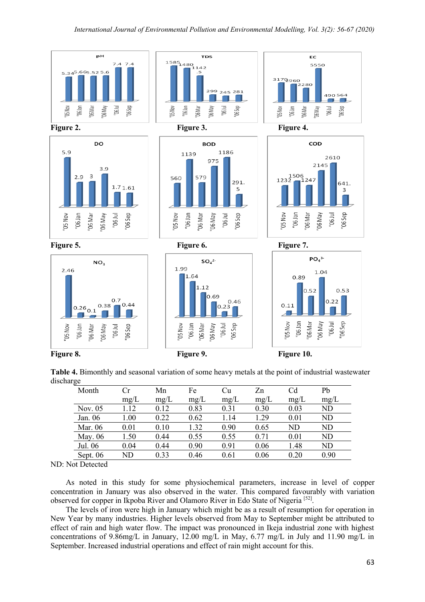

**Table 4.** Bimonthly and seasonal variation of some heavy metals at the point of industrial wastewater discharge

| Month      | Сr   | Mn   | Fe   | Cu   | Zn   | C <sub>d</sub> | Pb   |
|------------|------|------|------|------|------|----------------|------|
|            | mg/L | mg/L | mg/L | mg/L | mg/L | mg/L           | mg/L |
| Nov. $05$  | 1.12 | 0.12 | 0.83 | 0.31 | 0.30 | 0.03           | ND   |
| Jan. 06    | 1.00 | 0.22 | 0.62 | 1.14 | 1.29 | 0.01           | ND   |
| Mar. 06    | 0.01 | 0.10 | 1.32 | 0.90 | 0.65 | ND             | ND   |
| May. 06    | 1.50 | 0.44 | 0.55 | 0.55 | 0.71 | 0.01           | ND   |
| Jul. 06    | 0.04 | 0.44 | 0.90 | 0.91 | 0.06 | 1.48           | ND   |
| Sept. $06$ | ND   | 0.33 | 0.46 | 0.61 | 0.06 | 0.20           | 0.90 |

ND: Not Detected

As noted in this study for some physiochemical parameters, increase in level of copper concentration in January was also observed in the water. This compared favourably with variation observed for copper in Ikpoba River and Olamoro River in Edo State of Nigeria [52].

The levels of iron were high in January which might be as a result of resumption for operation in New Year by many industries. Higher levels observed from May to September might be attributed to effect of rain and high water flow. The impact was pronounced in Ikeja industrial zone with highest concentrations of 9.86mg/L in January, 12.00 mg/L in May, 6.77 mg/L in July and 11.90 mg/L in September. Increased industrial operations and effect of rain might account for this.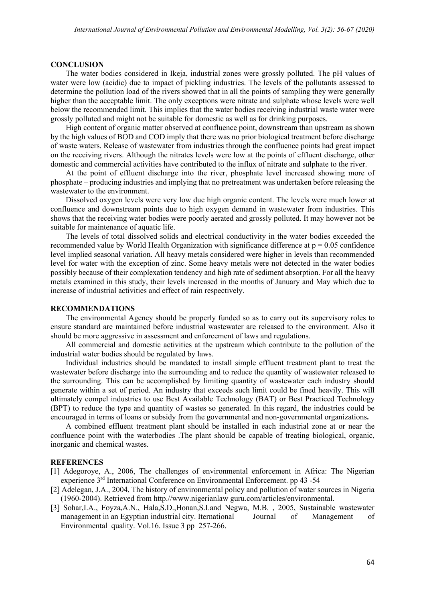#### **CONCLUSION**

The water bodies considered in Ikeja, industrial zones were grossly polluted. The pH values of water were low (acidic) due to impact of pickling industries. The levels of the pollutants assessed to determine the pollution load of the rivers showed that in all the points of sampling they were generally higher than the acceptable limit. The only exceptions were nitrate and sulphate whose levels were well below the recommended limit. This implies that the water bodies receiving industrial waste water were grossly polluted and might not be suitable for domestic as well as for drinking purposes.

High content of organic matter observed at confluence point, downstream than upstream as shown by the high values of BOD and COD imply that there was no prior biological treatment before discharge of waste waters. Release of wastewater from industries through the confluence points had great impact on the receiving rivers. Although the nitrates levels were low at the points of effluent discharge, other domestic and commercial activities have contributed to the influx of nitrate and sulphate to the river.

At the point of effluent discharge into the river, phosphate level increased showing more of phosphate – producing industries and implying that no pretreatment was undertaken before releasing the wastewater to the environment.

Dissolved oxygen levels were very low due high organic content. The levels were much lower at confluence and downstream points due to high oxygen demand in wastewater from industries. This shows that the receiving water bodies were poorly aerated and grossly polluted. It may however not be suitable for maintenance of aquatic life.

The levels of total dissolved solids and electrical conductivity in the water bodies exceeded the recommended value by World Health Organization with significance difference at  $p = 0.05$  confidence level implied seasonal variation. All heavy metals considered were higher in levels than recommended level for water with the exception of zinc. Some heavy metals were not detected in the water bodies possibly because of their complexation tendency and high rate of sediment absorption. For all the heavy metals examined in this study, their levels increased in the months of January and May which due to increase of industrial activities and effect of rain respectively.

#### **RECOMMENDATIONS**

The environmental Agency should be properly funded so as to carry out its supervisory roles to ensure standard are maintained before industrial wastewater are released to the environment. Also it should be more aggressive in assessment and enforcement of laws and regulations.

All commercial and domestic activities at the upstream which contribute to the pollution of the industrial water bodies should be regulated by laws.

Individual industries should be mandated to install simple effluent treatment plant to treat the wastewater before discharge into the surrounding and to reduce the quantity of wastewater released to the surrounding. This can be accomplished by limiting quantity of wastewater each industry should generate within a set of period. An industry that exceeds such limit could be fined heavily. This will ultimately compel industries to use Best Available Technology (BAT) or Best Practiced Technology (BPT) to reduce the type and quantity of wastes so generated. In this regard, the industries could be encouraged in terms of loans or subsidy from the governmental and non-governmental organizations**.**

A combined effluent treatment plant should be installed in each industrial zone at or near the confluence point with the waterbodies .The plant should be capable of treating biological, organic, inorganic and chemical wastes.

#### **REFERENCES**

- [1] Adegoroye, A., 2006, The challenges of environmental enforcement in Africa: The Nigerian experience 3<sup>rd</sup> International Conference on Environmental Enforcement. pp 43 -54
- [2] Adelegan, J.A., 2004, The history of environmental policy and pollution of water sources in Nigeria (1960-2004). Retrieved from http.//www.nigerianlaw guru.com/articles/environmental.
- [3] Sohar,I.A., Foyza,A.N., Hala,S.D.,Honan,S.I.and Negwa, M.B. , 2005, Sustainable wastewater management in an Egyptian industrial city. Iternational Journal of Management of Environmental quality. Vol.16. Issue 3 pp 257-266.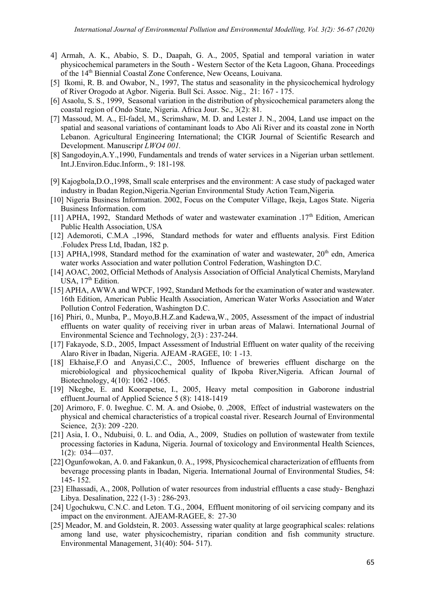- 4] Armah, A. K., Ababio, S. D., Daapah, G. A., 2005, Spatial and temporal variation in water physicochemical parameters in the South - Western Sector of the Keta Lagoon, Ghana. Proceedings of the 14<sup>th</sup> Biennial Coastal Zone Conference, New Oceans, Louivana.
- [5] Ikomi, R. B. and Owabor, N., 1997, The status and seasonality in the physicochemical hydrology of River Orogodo at Agbor. Nigeria. Bull Sci. Assoc. Nig., 21: 167 - 175.
- [6] Asaolu, S. S., 1999, Seasonal variation in the distribution of physicochemical parameters along the coastal region of Ondo State, Nigeria. Africa Jour. Sc., 3(2): 81.
- [7] Massoud, M. A., El-fadel, M., Scrimshaw, M. D. and Lester J. N., 2004, Land use impact on the spatial and seasonal variations of contaminant loads to Abo Ali River and its coastal zone in North Lebanon. Agricultural Engineering International; the CIGR Journal of Scientific Research and Development. Manuscrip*t LWO4 001.*
- [8] Sangodoyin,A.Y.,1990, Fundamentals and trends of water services in a Nigerian urban settlement. Int.J.Environ.Educ.Inform., 9: 181-198*.*
- [9] Kajogbola,D.O.,1998, Small scale enterprises and the environment: A case study of packaged water industry in Ibadan Region,Nigeria.Ngerian Environmental Study Action Team,Nigeria*.*
- [10] Nigeria Business Information. 2002, Focus on the Computer Village, Ikeja, Lagos State. Nigeria Business Information. com
- [11] APHA, 1992, Standard Methods of water and wastewater examination .17<sup>th</sup> Edition, American Public Health Association, USA
- [12] Ademoroti, C.M.A .,1996, Standard methods for water and effluents analysis. First Edition .Foludex Press Ltd, Ibadan, 182 p.
- [13] APHA,1998, Standard method for the examination of water and wastewater,  $20<sup>th</sup>$  edn, America water works Association and water pollution Control Federation, Washington D.C.
- [14] AOAC, 2002, Official Methods of Analysis Association of Official Analytical Chemists, Maryland USA, 17<sup>th</sup> Edition.
- [15] APHA, AWWA and WPCF, 1992, Standard Methods for the examination of water and wastewater. 16th Edition, American Public Health Association, American Water Works Association and Water Pollution Control Federation, Washington D.C.
- [16] Phiri, 0., Munba, P., Moyo,B.H.Z.and Kadewa,W., 2005, Assessment of the impact of industrial effluents on water quality of receiving river in urban areas of Malawi. International Journal of Environmental Science and Technology, 2(3) : 237-244.
- [17] Fakayode, S.D., 2005, Impact Assessment of Industrial Effluent on water quality of the receiving Alaro River in Ibadan, Nigeria. AJEAM -RAGEE, 10: 1 -13.
- [18] Ekhaise,F.O and Anyasi,C.C., 2005, Influence of breweries effluent discharge on the microbiological and physicochemical quality of Ikpoba River,Nigeria. African Journal of Biotechnology, 4(10): 1062 -1065.
- [19] Nkegbe, E. and Koorapetse, I., 2005, Heavy metal composition in Gaborone industrial effluent.Journal of Applied Science 5 (8): 1418-1419
- [20] Arimoro, F. 0. Iweghue. C. M. A. and Osiobe, 0., 2008, Effect of industrial wastewaters on the physical and chemical characteristics of a tropical coastal river. Research Journal of Environmental Science, 2(3): 209 -220.
- [21] Asia, I. O., Ndubuisi, 0. L. and Odia, A., 2009, Studies on pollution of wastewater from textile processing factories in Kaduna, Nigeria. Journal of toxicology and Environmental Health Sciences, 1(2): 034—037.
- [22] Ogunfowokan, A. 0. and Fakankun, 0. A., 1998, Physicochemical characterization of effluents from beverage processing plants in Ibadan, Nigeria. International Journal of Environmental Studies, 54: 145- 152.
- [23] Elhassadi, A., 2008, Pollution of water resources from industrial effluents a case study- Benghazi Libya. Desalination, 222 (1-3) : 286-293.
- [24] Ugochukwu, C.N.C. and Leton. T.G., 2004, Effluent monitoring of oil servicing company and its impact on the environment. AJEAM-RAGEE, 8: 27-30
- [25] Meador, M. and Goldstein, R. 2003. Assessing water quality at large geographical scales: relations among land use, water physicochemistry, riparian condition and fish community structure. Environmental Management, 31(40): 504- 517).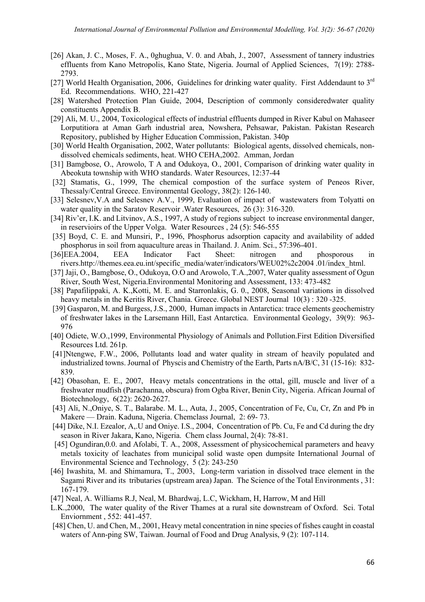- [26] Akan, J. C., Moses, F. A., 0ghughua, V. 0. and Abah, J., 2007, Assessment of tannery industries effluents from Kano Metropolis, Kano State, Nigeria. Journal of Applied Sciences, 7(19): 2788- 2793.
- [27] World Health Organisation, 2006, Guidelines for drinking water quality. First Addendaunt to  $3<sup>rd</sup>$ Ed. Recommendations. WHO, 221-427
- [28] Watershed Protection Plan Guide, 2004, Description of commonly consideredwater quality constituents Appendix B.
- [29] Ali, M. U., 2004, Toxicological effects of industrial effluents dumped in River Kabul on Mahaseer Lorputitiora at Aman Garh industrial area, Nowshera, Pehsawar, Pakistan. Pakistan Research Repository, published by Higher Education Commission, Pakistan. 340p
- [30] World Health Organisation, 2002, Water pollutants: Biological agents, dissolved chemicals, nondissolved chemicals sediments, heat. WHO CEHA,2002. Amman, Jordan
- [31] Bamgbose, O., Arowolo, T A and Odukoya, O., 2001, Comparison of drinking water quality in Abeokuta township with WHO standards. Water Resources, 12:37-44
- [32] Stamatis, G., 1999, The chemical compostion of the surface system of Peneos River, Thessaly/Central Greece. Environmental Geology, 38(2): 126-140.
- [33] Selesnev, V.A and Selesnev A.V., 1999, Evaluation of impact of wastewaters from Tolyatti on water quality in the Saratov Reservoir .Water Resources, 26 (3): 316-320.
- [34] Riv'er, I.K. and Litvinov, A.S., 1997, A study of regions subject to increase environmental danger, in reservioirs of the Upper Volga. Water Resources , 24 (5): 546-555
- [35] Boyd, C. E. and Munsiri, P., 1996, Phosphorus adsorption capacity and availability of added phosphorus in soil from aquaculture areas in Thailand. J. Anim. Sci., 57:396-401.
- [36]EEA.2004, EEA Indicator Fact Sheet: nitrogen and phosporous in rivers.http://themes.eea.eu.int/specific\_media/water/indicators/WEU02%2c2004 .01/index\_html.
- [37] Jaji, O., Bamgbose, O., Odukoya, O.O and Arowolo, T.A.,2007, Water quality assessment of Ogun River, South West, Nigeria.Environmental Monitoring and Assessment, 133: 473-482
- [38] Papafilippaki, A. K.,Kotti, M. E. and Starronlakis, G. 0., 2008, Seasonal variations in dissolved heavy metals in the Keritis River, Chania. Greece. Global NEST Journal 10(3) : 320 -325.
- [39] Gasparon, M. and Burgess, J.S., 2000, Human impacts in Antarctica: trace elements geochemistry of freshwater lakes in the Larsemann Hill, East Antarctica. Environmental Geology, 39(9): 963- 976
- [40] Odiete, W.O., 1999, Environmental Physiology of Animals and Pollution. First Edition Diversified Resources Ltd. 261p.
- [41]Ntengwe, F.W., 2006, Pollutants load and water quality in stream of heavily populated and industrialized towns. Journal of Physcis and Chemistry of the Earth, Parts nA/B/C, 31 (15-16): 832- 839.
- [42] Obasohan, E. E., 2007, Heavy metals concentrations in the ottal, gill, muscle and liver of a freshwater mudfish (Parachanna, obscura) from Ogba River, Benin City, Nigeria. African Journal of Biotechnology, 6(22): 2620-2627.
- [43] Ali, N.,Oniye, S. T., Balarabe. M. L., Auta, J., 2005, Concentration of Fe, Cu, Cr, Zn and Pb in Makere — Drain. Kaduna, Nigeria. Chemclass Journal, 2: 69- 73.
- [44] Dike, N.I. Ezealor, A, U and Oniye. I.S., 2004, Concentration of Pb. Cu, Fe and Cd during the dry season in River Jakara, Kano, Nigeria. Chem class Journal, 2(4): 78-81.
- [45] Ogundiran,0.0. and Afolabi, T. A., 2008, Assessment of physicochemical parameters and heavy metals toxicity of leachates from municipal solid waste open dumpsite International Journal of Environmental Science and Technology, 5 (2): 243-250
- [46] Iwashita, M. and Shimamura, T., 2003, Long-term variation in dissolved trace element in the Sagami River and its tributaries (upstream area) Japan. The Science of the Total Environments , 31: 167-179.
- [47] Neal, A. Williams R.J, Neal, M. Bhardwaj, L.C, Wickham, H, Harrow, M and Hill
- L.K.,2000, The water quality of the River Thames at a rural site downstream of Oxford. Sci. Total Enviornment , 552: 441-457.
- [48] Chen, U. and Chen, M., 2001, Heavy metal concentration in nine species of fishes caught in coastal waters of Ann-ping SW, Taiwan. Journal of Food and Drug Analysis, 9 (2): 107-114.